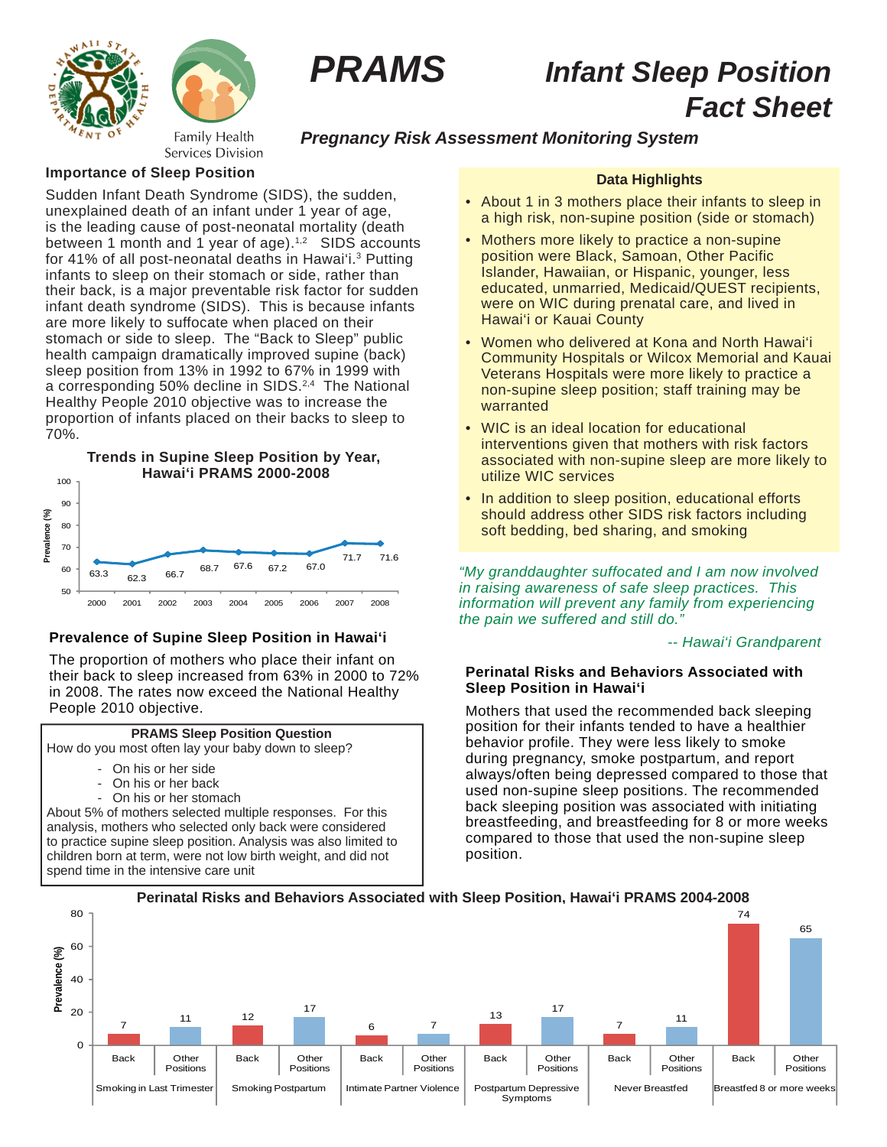



# *PRAMS Infant Sleep Position Fact Sheet*

# *Pregnancy Risk Assessment Monitoring System*

## **Importance of Sleep Position**

Sudden Infant Death Syndrome (SIDS), the sudden, unexplained death of an infant under 1 year of age, is the leading cause of post-neonatal mortality (death between 1 month and 1 year of age). $1/2$  SIDS accounts for 41% of all post-neonatal deaths in Hawai'i.3 Putting infants to sleep on their stomach or side, rather than their back, is a major preventable risk factor for sudden infant death syndrome (SIDS). This is because infants are more likely to suffocate when placed on their stomach or side to sleep. The "Back to Sleep" public health campaign dramatically improved supine (back) sleep position from 13% in 1992 to 67% in 1999 with a corresponding 50% decline in SIDS.<sup>2,4</sup> The National Healthy People 2010 objective was to increase the proportion of infants placed on their backs to sleep to 70%.



## **Prevalence of Supine Sleep Position in Hawai'i**

The proportion of mothers who place their infant on their back to sleep increased from 63% in 2000 to 72% in 2008. The rates now exceed the National Healthy People 2010 objective.



How do you most often lay your baby down to sleep?

- On his or her side
- On his or her back
- On his or her stomach

About 5% of mothers selected multiple responses. For this analysis, mothers who selected only back were considered to practice supine sleep position. Analysis was also limited to children born at term, were not low birth weight, and did not spend time in the intensive care unit

## **Data Highlights**

- About 1 in 3 mothers place their infants to sleep in a high risk, non-supine position (side or stomach)
- Mothers more likely to practice a non-supine position were Black, Samoan, Other Pacific Islander, Hawaiian, or Hispanic, younger, less educated, unmarried, Medicaid/QUEST recipients, were on WIC during prenatal care, and lived in Hawai'i or Kauai County
- Women who delivered at Kona and North Hawai'i Community Hospitals or Wilcox Memorial and Kauai Veterans Hospitals were more likely to practice a non-supine sleep position; staff training may be warranted
- WIC is an ideal location for educational interventions given that mothers with risk factors associated with non-supine sleep are more likely to utilize WIC services
- In addition to sleep position, educational efforts should address other SIDS risk factors including soft bedding, bed sharing, and smoking

*"My granddaughter suffocated and I am now involved in raising awareness of safe sleep practices. This information will prevent any family from experiencing the pain we suffered and still do."*

 *-- Hawai'i Grandparent*

## **Perinatal Risks and Behaviors Associated with Sleep Position in Hawai'i**

Mothers that used the recommended back sleeping position for their infants tended to have a healthier behavior profile. They were less likely to smoke during pregnancy, smoke postpartum, and report always/often being depressed compared to those that used non-supine sleep positions. The recommended back sleeping position was associated with initiating breastfeeding, and breastfeeding for 8 or more weeks compared to those that used the non-supine sleep position.



**Perinatal Risks and Behaviors Associated with Sleep Position, Hawai'i PRAMS 2004-2008**